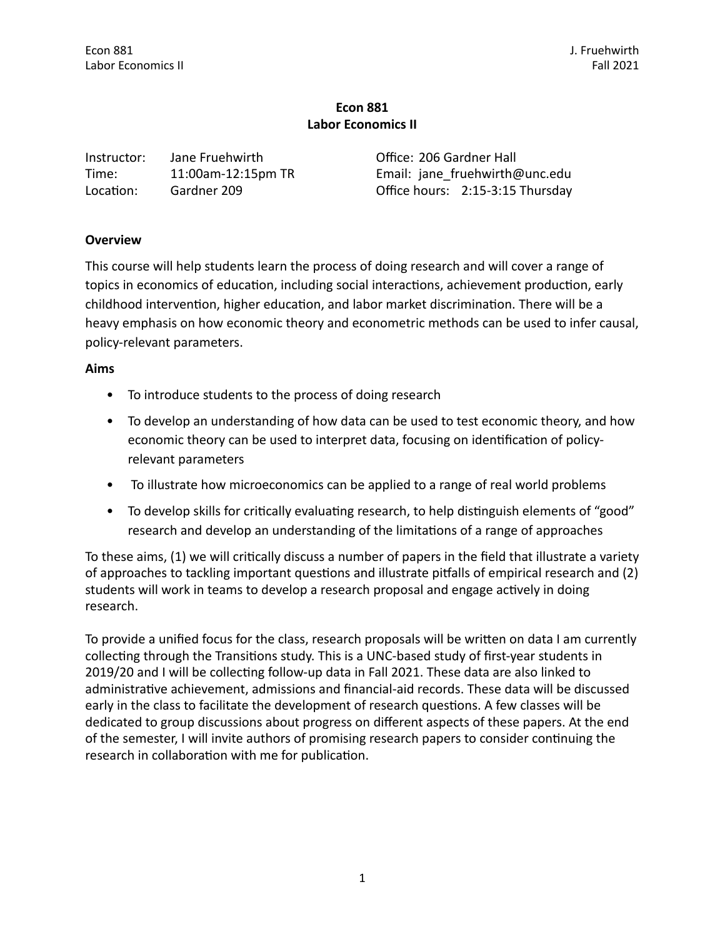| Instructor: | Jane Fruehwirth    | Office: 206 Gardner Hall         |
|-------------|--------------------|----------------------------------|
| Time:       | 11:00am-12:15pm TR | Email: jane fruehwirth@unc.edu   |
| Location:   | Gardner 209        | Office hours: 2:15-3:15 Thursday |

# **Overview**

This course will help students learn the process of doing research and will cover a range of topics in economics of education, including social interactions, achievement production, early childhood intervention, higher education, and labor market discrimination. There will be a heavy emphasis on how economic theory and econometric methods can be used to infer causal, policy-relevant parameters.

### **Aims**

- To introduce students to the process of doing research
- To develop an understanding of how data can be used to test economic theory, and how economic theory can be used to interpret data, focusing on identification of policyrelevant parameters
- To illustrate how microeconomics can be applied to a range of real world problems
- To develop skills for critically evaluating research, to help distinguish elements of "good" research and develop an understanding of the limitations of a range of approaches

To these aims, (1) we will critically discuss a number of papers in the field that illustrate a variety of approaches to tackling important questions and illustrate pitfalls of empirical research and  $(2)$ students will work in teams to develop a research proposal and engage actively in doing research. 

To provide a unified focus for the class, research proposals will be written on data I am currently collecting through the Transitions study. This is a UNC-based study of first-year students in 2019/20 and I will be collecting follow-up data in Fall 2021. These data are also linked to administrative achievement, admissions and financial-aid records. These data will be discussed early in the class to facilitate the development of research questions. A few classes will be dedicated to group discussions about progress on different aspects of these papers. At the end of the semester, I will invite authors of promising research papers to consider continuing the research in collaboration with me for publication.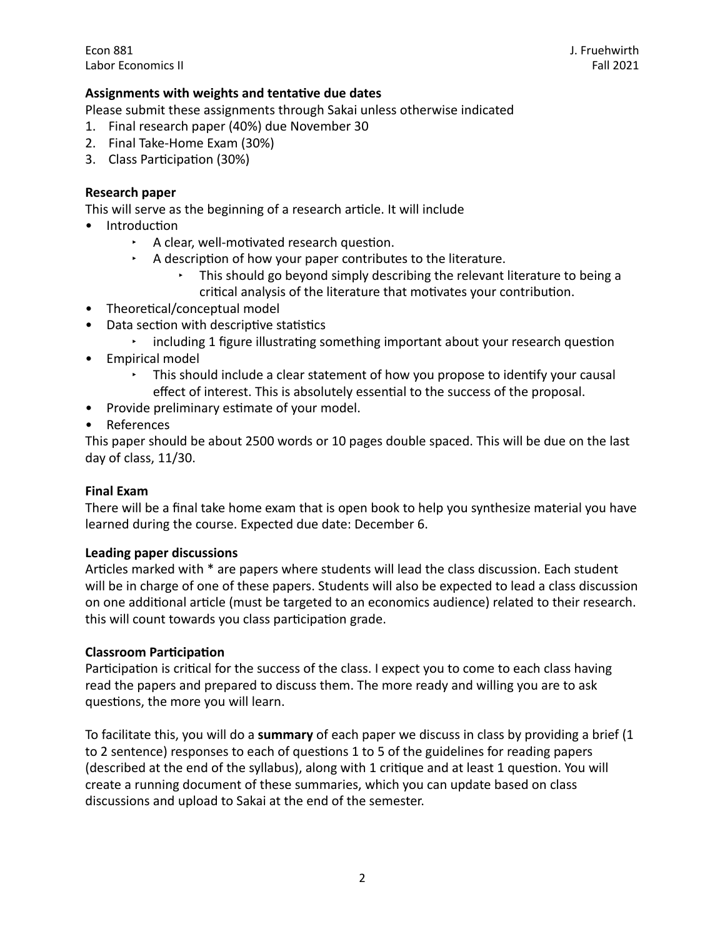## Assignments with weights and tentative due dates

Please submit these assignments through Sakai unless otherwise indicated

- 1. Final research paper (40%) due November 30
- 2. Final Take-Home Exam (30%)
- 3. Class Participation (30%)

### **Research paper**

This will serve as the beginning of a research article. It will include

- Introduction
	- $\cdot$  A clear, well-motivated research question.
	- A description of how your paper contributes to the literature.
		- This should go beyond simply describing the relevant literature to being a critical analysis of the literature that motivates your contribution.
- Theoretical/conceptual model
- Data section with descriptive statistics
	- $\cdot$  including 1 figure illustrating something important about your research question
- Empirical model
	- This should include a clear statement of how you propose to identify your causal effect of interest. This is absolutely essential to the success of the proposal.
- Provide preliminary estimate of your model.
- References

This paper should be about 2500 words or 10 pages double spaced. This will be due on the last day of class, 11/30.

#### **Final Fxam**

There will be a final take home exam that is open book to help you synthesize material you have learned during the course. Expected due date: December 6.

#### **Leading paper discussions**

Articles marked with \* are papers where students will lead the class discussion. Each student will be in charge of one of these papers. Students will also be expected to lead a class discussion on one additional article (must be targeted to an economics audience) related to their research. this will count towards you class participation grade.

#### **Classroom Participation**

Participation is critical for the success of the class. I expect you to come to each class having read the papers and prepared to discuss them. The more ready and willing you are to ask questions, the more you will learn.

To facilitate this, you will do a summary of each paper we discuss in class by providing a brief (1 to 2 sentence) responses to each of questions 1 to 5 of the guidelines for reading papers (described at the end of the syllabus), along with 1 critique and at least 1 question. You will create a running document of these summaries, which you can update based on class discussions and upload to Sakai at the end of the semester.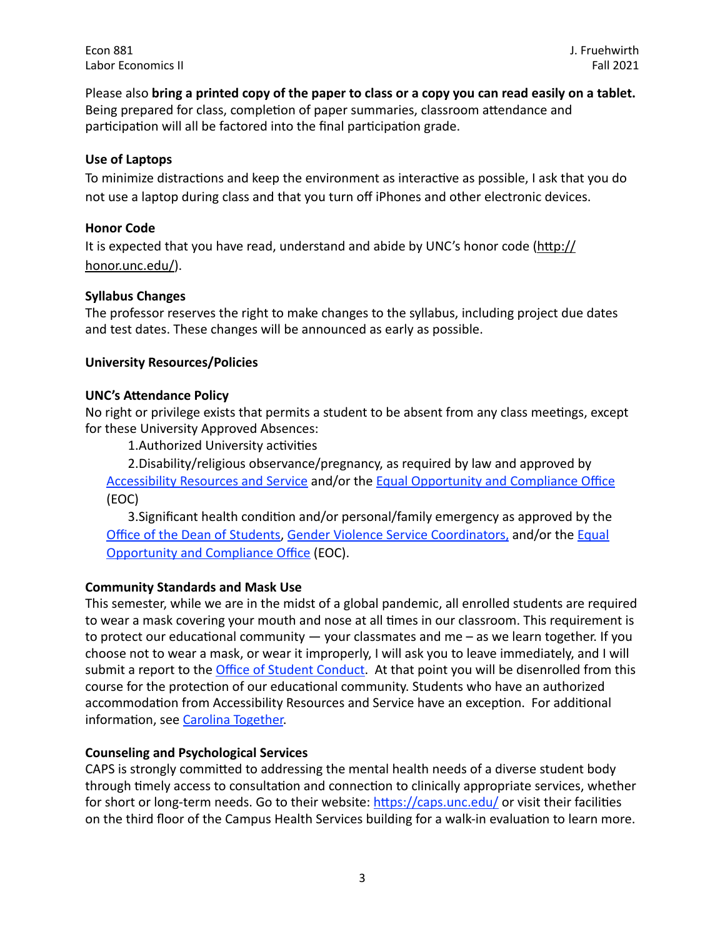Please also bring a printed copy of the paper to class or a copy you can read easily on a tablet. Being prepared for class, completion of paper summaries, classroom attendance and participation will all be factored into the final participation grade.

## **Use of Laptops**

To minimize distractions and keep the environment as interactive as possible, I ask that you do not use a laptop during class and that you turn off iPhones and other electronic devices.

# **Honor Code**

It is expected that you have read, understand and abide by UNC's honor code ([http://](http://honor.unc.edu/) [honor.unc.edu/](http://honor.unc.edu/)).

# **Syllabus Changes**

The professor reserves the right to make changes to the syllabus, including project due dates and test dates. These changes will be announced as early as possible.

## **University Resources/Policies**

## **UNC's Attendance Policy**

No right or privilege exists that permits a student to be absent from any class meetings, except for these University Approved Absences:

1. Authorized University activities

2. Disability/religious observance/pregnancy, as required by law and approved by Accessibility Resources and Service and/or the Equal Opportunity and Compliance Office (EOC)

3. Significant health condition and/or personal/family emergency as approved by the Office of the Dean of Students, Gender Violence Service Coordinators, and/or the Equal **Opportunity and Compliance Office (EOC).** 

## **Community Standards and Mask Use**

This semester, while we are in the midst of a global pandemic, all enrolled students are required to wear a mask covering your mouth and nose at all times in our classroom. This requirement is to protect our educational community  $-$  your classmates and me  $-$  as we learn together. If you choose not to wear a mask, or wear it improperly, I will ask you to leave immediately, and I will submit a report to the *Office of Student Conduct*. At that point you will be disenrolled from this course for the protection of our educational community. Students who have an authorized accommodation from Accessibility Resources and Service have an exception. For additional information, see Carolina Together.

## **Counseling and Psychological Services**

CAPS is strongly committed to addressing the mental health needs of a diverse student body through timely access to consultation and connection to clinically appropriate services, whether for short or long-term needs. Go to their website: [https://caps.unc.edu/](https://caps.unc.edu/%22%20%5Ct%20%22_blank) or visit their facilities on the third floor of the Campus Health Services building for a walk-in evaluation to learn more.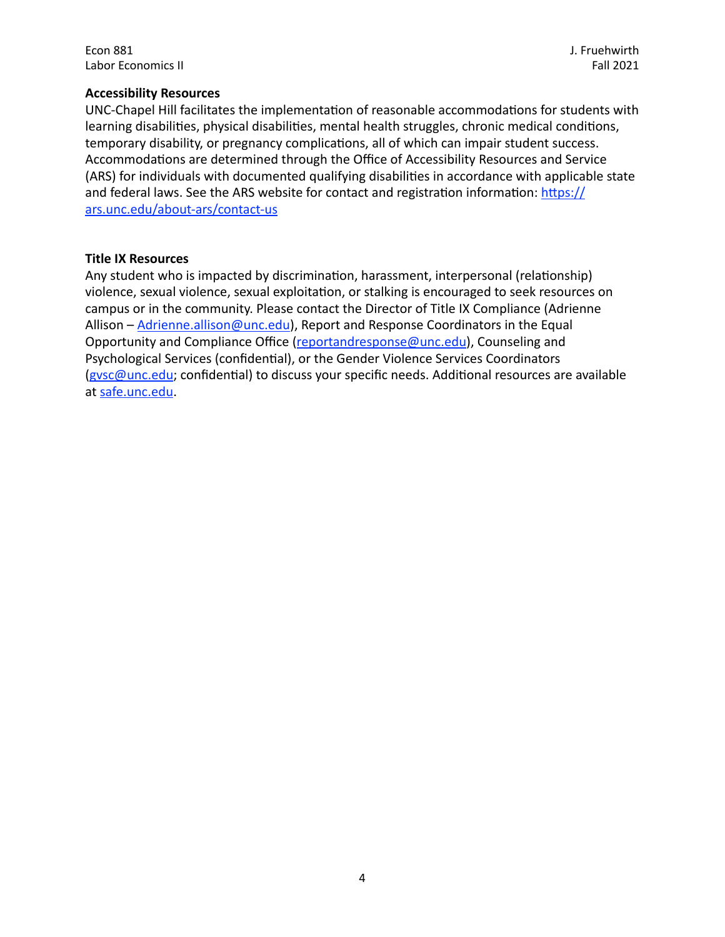J. Fruehwirth Fall 2021

### **Accessibility Resources**

UNC-Chapel Hill facilitates the implementation of reasonable accommodations for students with learning disabilities, physical disabilities, mental health struggles, chronic medical conditions, temporary disability, or pregnancy complications, all of which can impair student success. Accommodations are determined through the Office of Accessibility Resources and Service (ARS) for individuals with documented qualifying disabilities in accordance with applicable state and federal laws. See the ARS website for contact and registration information: https:// [ars.unc.edu/about-ars/contact-us](https://ars.unc.edu/about-ars/contact-us)

#### **Title IX Resources**

Any student who is impacted by discrimination, harassment, interpersonal (relationship) violence, sexual violence, sexual exploitation, or stalking is encouraged to seek resources on campus or in the community. Please contact the Director of Title IX Compliance (Adrienne Allison –  $Adrienne. allison@unc.edu$ , Report and Response Coordinators in the Equal Opportunity and Compliance Office ([reportandresponse@unc.edu](mailto:reportandresponse@unc.edu)), Counseling and Psychological Services (confidential), or the Gender Violence Services Coordinators (gysc@unc.edu; confidential) to discuss your specific needs. Additional resources are available at safe.unc.edu.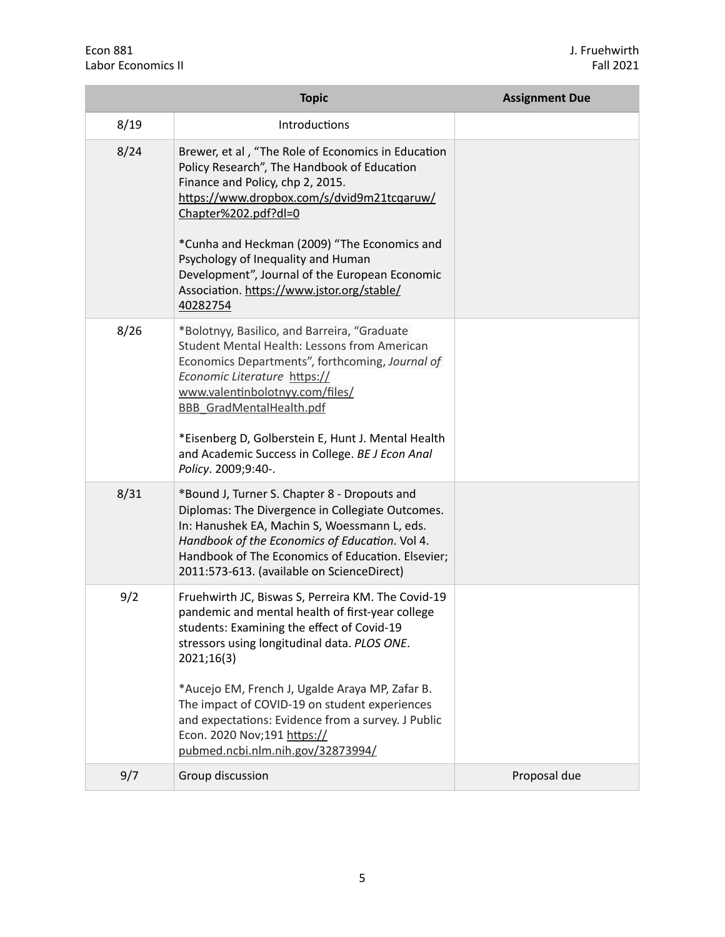|      | <b>Topic</b>                                                                                                                                                                                                                                                                                                                                                                                                                                     | <b>Assignment Due</b> |
|------|--------------------------------------------------------------------------------------------------------------------------------------------------------------------------------------------------------------------------------------------------------------------------------------------------------------------------------------------------------------------------------------------------------------------------------------------------|-----------------------|
| 8/19 | Introductions                                                                                                                                                                                                                                                                                                                                                                                                                                    |                       |
| 8/24 | Brewer, et al, "The Role of Economics in Education<br>Policy Research", The Handbook of Education<br>Finance and Policy, chp 2, 2015.<br>https://www.dropbox.com/s/dvid9m21tcqaruw/<br>Chapter%202.pdf?dl=0<br>*Cunha and Heckman (2009) "The Economics and<br>Psychology of Inequality and Human<br>Development", Journal of the European Economic<br>Association. https://www.jstor.org/stable/<br>40282754                                    |                       |
| 8/26 | *Bolotnyy, Basilico, and Barreira, "Graduate<br>Student Mental Health: Lessons from American<br>Economics Departments", forthcoming, Journal of<br>Economic Literature https://<br>www.valentinbolotnyy.com/files/<br><b>BBB GradMentalHealth.pdf</b><br>*Eisenberg D, Golberstein E, Hunt J. Mental Health<br>and Academic Success in College. BE J Econ Anal<br>Policy. 2009;9:40-.                                                            |                       |
| 8/31 | *Bound J, Turner S. Chapter 8 - Dropouts and<br>Diplomas: The Divergence in Collegiate Outcomes.<br>In: Hanushek EA, Machin S, Woessmann L, eds.<br>Handbook of the Economics of Education. Vol 4.<br>Handbook of The Economics of Education. Elsevier;<br>2011:573-613. (available on ScienceDirect)                                                                                                                                            |                       |
| 9/2  | Fruehwirth JC, Biswas S, Perreira KM. The Covid-19<br>pandemic and mental health of first-year college<br>students: Examining the effect of Covid-19<br>stressors using longitudinal data. PLOS ONE.<br>2021;16(3)<br>*Aucejo EM, French J, Ugalde Araya MP, Zafar B.<br>The impact of COVID-19 on student experiences<br>and expectations: Evidence from a survey. J Public<br>Econ. 2020 Nov;191 https://<br>pubmed.ncbi.nlm.nih.gov/32873994/ |                       |
| 9/7  | Group discussion                                                                                                                                                                                                                                                                                                                                                                                                                                 | Proposal due          |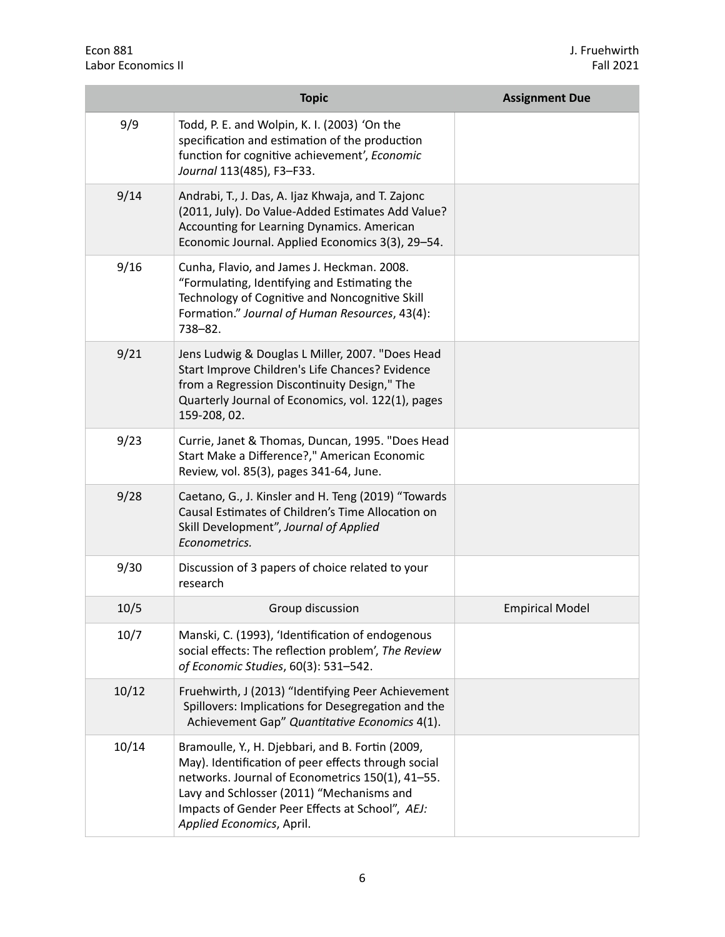|       | <b>Topic</b>                                                                                                                                                                                                                                                                             | <b>Assignment Due</b>  |
|-------|------------------------------------------------------------------------------------------------------------------------------------------------------------------------------------------------------------------------------------------------------------------------------------------|------------------------|
| 9/9   | Todd, P. E. and Wolpin, K. I. (2003) 'On the<br>specification and estimation of the production<br>function for cognitive achievement', Economic<br>Journal 113(485), F3-F33.                                                                                                             |                        |
| 9/14  | Andrabi, T., J. Das, A. Ijaz Khwaja, and T. Zajonc<br>(2011, July). Do Value-Added Estimates Add Value?<br>Accounting for Learning Dynamics. American<br>Economic Journal. Applied Economics 3(3), 29-54.                                                                                |                        |
| 9/16  | Cunha, Flavio, and James J. Heckman. 2008.<br>"Formulating, Identifying and Estimating the<br>Technology of Cognitive and Noncognitive Skill<br>Formation." Journal of Human Resources, 43(4):<br>738-82.                                                                                |                        |
| 9/21  | Jens Ludwig & Douglas L Miller, 2007. "Does Head<br>Start Improve Children's Life Chances? Evidence<br>from a Regression Discontinuity Design," The<br>Quarterly Journal of Economics, vol. 122(1), pages<br>159-208, 02.                                                                |                        |
| 9/23  | Currie, Janet & Thomas, Duncan, 1995. "Does Head<br>Start Make a Difference?," American Economic<br>Review, vol. 85(3), pages 341-64, June.                                                                                                                                              |                        |
| 9/28  | Caetano, G., J. Kinsler and H. Teng (2019) "Towards<br>Causal Estimates of Children's Time Allocation on<br>Skill Development", Journal of Applied<br>Econometrics.                                                                                                                      |                        |
| 9/30  | Discussion of 3 papers of choice related to your<br>research                                                                                                                                                                                                                             |                        |
| 10/5  | Group discussion                                                                                                                                                                                                                                                                         | <b>Empirical Model</b> |
| 10/7  | Manski, C. (1993), 'Identification of endogenous<br>social effects: The reflection problem', The Review<br>of Economic Studies, 60(3): 531-542.                                                                                                                                          |                        |
| 10/12 | Fruehwirth, J (2013) "Identifying Peer Achievement<br>Spillovers: Implications for Desegregation and the<br>Achievement Gap" Quantitative Economics 4(1).                                                                                                                                |                        |
| 10/14 | Bramoulle, Y., H. Djebbari, and B. Fortin (2009,<br>May). Identification of peer effects through social<br>networks. Journal of Econometrics 150(1), 41-55.<br>Lavy and Schlosser (2011) "Mechanisms and<br>Impacts of Gender Peer Effects at School", AEJ:<br>Applied Economics, April. |                        |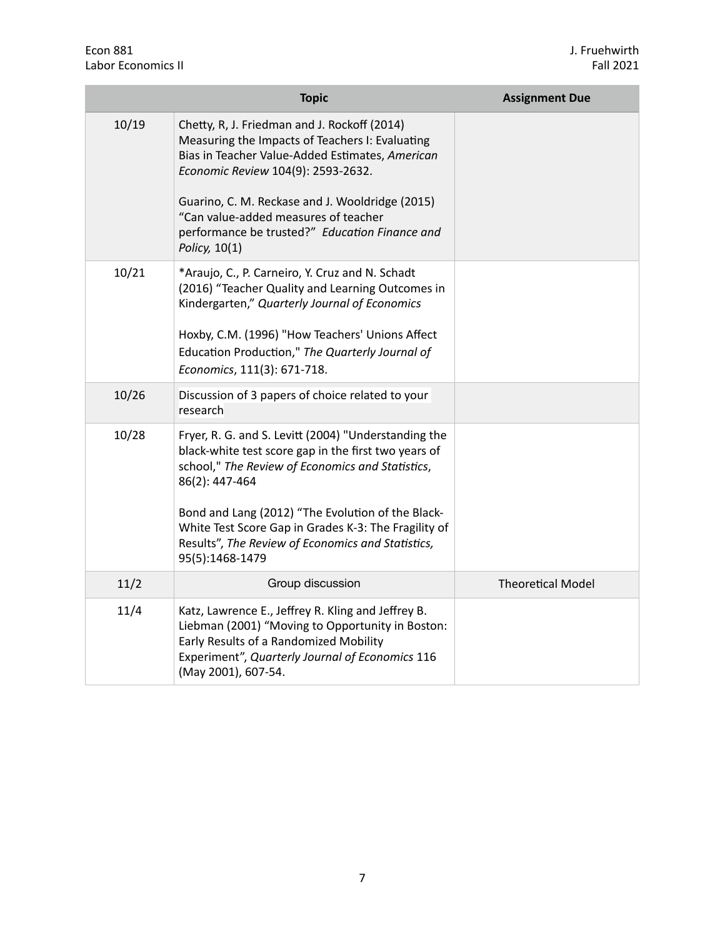|       | <b>Topic</b>                                                                                                                                                                                                                                                                                                                                                            | <b>Assignment Due</b>    |
|-------|-------------------------------------------------------------------------------------------------------------------------------------------------------------------------------------------------------------------------------------------------------------------------------------------------------------------------------------------------------------------------|--------------------------|
| 10/19 | Chetty, R, J. Friedman and J. Rockoff (2014)<br>Measuring the Impacts of Teachers I: Evaluating<br>Bias in Teacher Value-Added Estimates, American<br>Economic Review 104(9): 2593-2632.<br>Guarino, C. M. Reckase and J. Wooldridge (2015)<br>"Can value-added measures of teacher<br>performance be trusted?" Education Finance and<br>Policy, 10(1)                  |                          |
| 10/21 | *Araujo, C., P. Carneiro, Y. Cruz and N. Schadt<br>(2016) "Teacher Quality and Learning Outcomes in<br>Kindergarten," Quarterly Journal of Economics<br>Hoxby, C.M. (1996) "How Teachers' Unions Affect<br>Education Production," The Quarterly Journal of<br>Economics, 111(3): 671-718.                                                                               |                          |
| 10/26 | Discussion of 3 papers of choice related to your<br>research                                                                                                                                                                                                                                                                                                            |                          |
| 10/28 | Fryer, R. G. and S. Levitt (2004) "Understanding the<br>black-white test score gap in the first two years of<br>school," The Review of Economics and Statistics,<br>86(2): 447-464<br>Bond and Lang (2012) "The Evolution of the Black-<br>White Test Score Gap in Grades K-3: The Fragility of<br>Results", The Review of Economics and Statistics,<br>95(5):1468-1479 |                          |
| 11/2  | Group discussion                                                                                                                                                                                                                                                                                                                                                        | <b>Theoretical Model</b> |
| 11/4  | Katz, Lawrence E., Jeffrey R. Kling and Jeffrey B.<br>Liebman (2001) "Moving to Opportunity in Boston:<br>Early Results of a Randomized Mobility<br>Experiment", Quarterly Journal of Economics 116<br>(May 2001), 607-54.                                                                                                                                              |                          |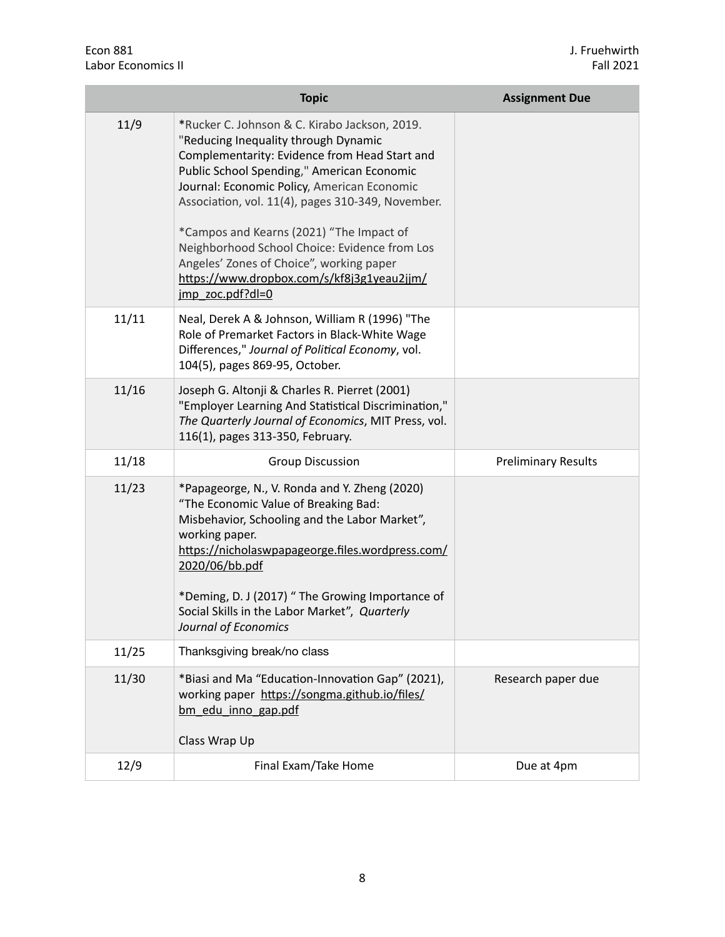|       | <b>Topic</b>                                                                                                                                                                                                                                                                                                                                                                                                                                                                                        | <b>Assignment Due</b>      |
|-------|-----------------------------------------------------------------------------------------------------------------------------------------------------------------------------------------------------------------------------------------------------------------------------------------------------------------------------------------------------------------------------------------------------------------------------------------------------------------------------------------------------|----------------------------|
| 11/9  | *Rucker C. Johnson & C. Kirabo Jackson, 2019.<br>"Reducing Inequality through Dynamic<br>Complementarity: Evidence from Head Start and<br>Public School Spending," American Economic<br>Journal: Economic Policy, American Economic<br>Association, vol. 11(4), pages 310-349, November.<br>*Campos and Kearns (2021) "The Impact of<br>Neighborhood School Choice: Evidence from Los<br>Angeles' Zones of Choice", working paper<br>https://www.dropbox.com/s/kf8j3g1yeau2jjm/<br>imp zoc.pdf?dl=0 |                            |
| 11/11 | Neal, Derek A & Johnson, William R (1996) "The<br>Role of Premarket Factors in Black-White Wage<br>Differences," Journal of Political Economy, vol.<br>104(5), pages 869-95, October.                                                                                                                                                                                                                                                                                                               |                            |
| 11/16 | Joseph G. Altonji & Charles R. Pierret (2001)<br>"Employer Learning And Statistical Discrimination,"<br>The Quarterly Journal of Economics, MIT Press, vol.<br>116(1), pages 313-350, February.                                                                                                                                                                                                                                                                                                     |                            |
| 11/18 | <b>Group Discussion</b>                                                                                                                                                                                                                                                                                                                                                                                                                                                                             | <b>Preliminary Results</b> |
| 11/23 | *Papageorge, N., V. Ronda and Y. Zheng (2020)<br>"The Economic Value of Breaking Bad:<br>Misbehavior, Schooling and the Labor Market",<br>working paper.<br>https://nicholaswpapageorge.files.wordpress.com/<br>2020/06/bb.pdf<br>*Deming, D. J (2017) " The Growing Importance of<br>Social Skills in the Labor Market", Quarterly<br>Journal of Economics                                                                                                                                         |                            |
| 11/25 | Thanksgiving break/no class                                                                                                                                                                                                                                                                                                                                                                                                                                                                         |                            |
| 11/30 | *Biasi and Ma "Education-Innovation Gap" (2021),<br>working paper https://songma.github.io/files/<br>bm edu inno gap.pdf<br>Class Wrap Up                                                                                                                                                                                                                                                                                                                                                           | Research paper due         |
| 12/9  | Final Exam/Take Home                                                                                                                                                                                                                                                                                                                                                                                                                                                                                | Due at 4pm                 |